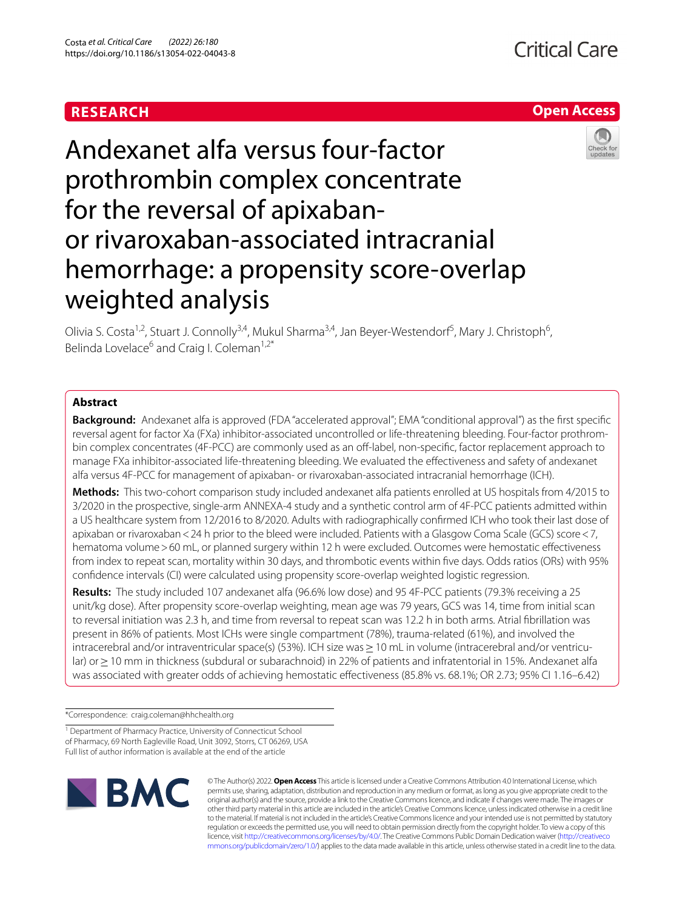### **RESEARCH**





# Andexanet alfa versus four-factor prothrombin complex concentrate for the reversal of apixabanor rivaroxaban-associated intracranial hemorrhage: a propensity score-overlap weighted analysis

Olivia S. Costa<sup>1,2</sup>, Stuart J. Connolly<sup>3,4</sup>, Mukul Sharma<sup>3,4</sup>, Jan Beyer-Westendorf<sup>5</sup>, Mary J. Christoph<sup>6</sup>, Belinda Lovelace<sup>6</sup> and Craig I. Coleman<sup>1,2\*</sup>

#### **Abstract**

**Background:** Andexanet alfa is approved (FDA "accelerated approval"; EMA "conditional approval") as the frst specifc reversal agent for factor Xa (FXa) inhibitor-associated uncontrolled or life-threatening bleeding. Four-factor prothrombin complex concentrates (4F-PCC) are commonly used as an off-label, non-specific, factor replacement approach to manage FXa inhibitor-associated life-threatening bleeding. We evaluated the efectiveness and safety of andexanet alfa versus 4F-PCC for management of apixaban- or rivaroxaban-associated intracranial hemorrhage (ICH).

**Methods:** This two-cohort comparison study included andexanet alfa patients enrolled at US hospitals from 4/2015 to 3/2020 in the prospective, single-arm ANNEXA-4 study and a synthetic control arm of 4F-PCC patients admitted within a US healthcare system from 12/2016 to 8/2020. Adults with radiographically confrmed ICH who took their last dose of apixaban or rivaroxaban<24 h prior to the bleed were included. Patients with a Glasgow Coma Scale (GCS) score<7, hematoma volume>60 mL, or planned surgery within 12 h were excluded. Outcomes were hemostatic efectiveness from index to repeat scan, mortality within 30 days, and thrombotic events within five days. Odds ratios (ORs) with 95% confdence intervals (CI) were calculated using propensity score-overlap weighted logistic regression.

**Results:** The study included 107 andexanet alfa (96.6% low dose) and 95 4F-PCC patients (79.3% receiving a 25 unit/kg dose). After propensity score-overlap weighting, mean age was 79 years, GCS was 14, time from initial scan to reversal initiation was 2.3 h, and time from reversal to repeat scan was 12.2 h in both arms. Atrial fbrillation was present in 86% of patients. Most ICHs were single compartment (78%), trauma-related (61%), and involved the intracerebral and/or intraventricular space(s) (53%). ICH size was > 10 mL in volume (intracerebral and/or ventricular) or≥10 mm in thickness (subdural or subarachnoid) in 22% of patients and infratentorial in 15%. Andexanet alfa was associated with greater odds of achieving hemostatic efectiveness (85.8% vs. 68.1%; OR 2.73; 95% CI 1.16–6.42)

\*Correspondence: craig.coleman@hhchealth.org

<sup>1</sup> Department of Pharmacy Practice, University of Connecticut School of Pharmacy, 69 North Eagleville Road, Unit 3092, Storrs, CT 06269, USA Full list of author information is available at the end of the article



© The Author(s) 2022. **Open Access** This article is licensed under a Creative Commons Attribution 4.0 International License, which permits use, sharing, adaptation, distribution and reproduction in any medium or format, as long as you give appropriate credit to the original author(s) and the source, provide a link to the Creative Commons licence, and indicate if changes were made. The images or other third party material in this article are included in the article's Creative Commons licence, unless indicated otherwise in a credit line to the material. If material is not included in the article's Creative Commons licence and your intended use is not permitted by statutory regulation or exceeds the permitted use, you will need to obtain permission directly from the copyright holder. To view a copy of this licence, visit [http://creativecommons.org/licenses/by/4.0/.](http://creativecommons.org/licenses/by/4.0/) The Creative Commons Public Domain Dedication waiver ([http://creativeco](http://creativecommons.org/publicdomain/zero/1.0/) [mmons.org/publicdomain/zero/1.0/](http://creativecommons.org/publicdomain/zero/1.0/)) applies to the data made available in this article, unless otherwise stated in a credit line to the data.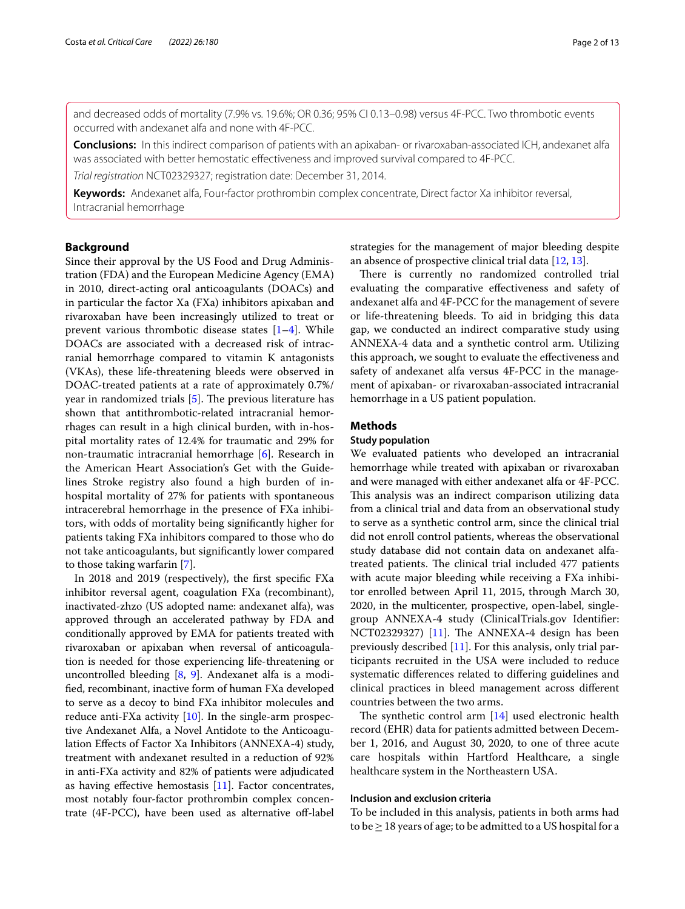and decreased odds of mortality (7.9% vs. 19.6%; OR 0.36; 95% CI 0.13–0.98) versus 4F-PCC. Two thrombotic events occurred with andexanet alfa and none with 4F-PCC.

**Conclusions:** In this indirect comparison of patients with an apixaban- or rivaroxaban-associated ICH, andexanet alfa was associated with better hemostatic efectiveness and improved survival compared to 4F-PCC.

*Trial registration* NCT02329327; registration date: December 31, 2014.

**Keywords:** Andexanet alfa, Four-factor prothrombin complex concentrate, Direct factor Xa inhibitor reversal, Intracranial hemorrhage

#### **Background**

Since their approval by the US Food and Drug Administration (FDA) and the European Medicine Agency (EMA) in 2010, direct-acting oral anticoagulants (DOACs) and in particular the factor Xa (FXa) inhibitors apixaban and rivaroxaban have been increasingly utilized to treat or prevent various thrombotic disease states [\[1](#page-11-0)[–4\]](#page-11-1). While DOACs are associated with a decreased risk of intracranial hemorrhage compared to vitamin K antagonists (VKAs), these life-threatening bleeds were observed in DOAC-treated patients at a rate of approximately 0.7%/ year in randomized trials  $[5]$  $[5]$ . The previous literature has shown that antithrombotic-related intracranial hemorrhages can result in a high clinical burden, with in-hospital mortality rates of 12.4% for traumatic and 29% for non-traumatic intracranial hemorrhage [[6\]](#page-11-3). Research in the American Heart Association's Get with the Guidelines Stroke registry also found a high burden of inhospital mortality of 27% for patients with spontaneous intracerebral hemorrhage in the presence of FXa inhibitors, with odds of mortality being signifcantly higher for patients taking FXa inhibitors compared to those who do not take anticoagulants, but signifcantly lower compared to those taking warfarin [[7\]](#page-11-4).

In 2018 and 2019 (respectively), the frst specifc FXa inhibitor reversal agent, coagulation FXa (recombinant), inactivated-zhzo (US adopted name: andexanet alfa), was approved through an accelerated pathway by FDA and conditionally approved by EMA for patients treated with rivaroxaban or apixaban when reversal of anticoagulation is needed for those experiencing life-threatening or uncontrolled bleeding [[8,](#page-11-5) [9\]](#page-11-6). Andexanet alfa is a modifed, recombinant, inactive form of human FXa developed to serve as a decoy to bind FXa inhibitor molecules and reduce anti-FXa activity [\[10\]](#page-11-7). In the single-arm prospective Andexanet Alfa, a Novel Antidote to the Anticoagulation Efects of Factor Xa Inhibitors (ANNEXA-4) study, treatment with andexanet resulted in a reduction of 92% in anti-FXa activity and 82% of patients were adjudicated as having efective hemostasis [\[11](#page-11-8)]. Factor concentrates, most notably four-factor prothrombin complex concentrate (4F-PCC), have been used as alternative of-label strategies for the management of major bleeding despite an absence of prospective clinical trial data [[12](#page-11-9), [13\]](#page-11-10).

There is currently no randomized controlled trial evaluating the comparative efectiveness and safety of andexanet alfa and 4F-PCC for the management of severe or life-threatening bleeds. To aid in bridging this data gap, we conducted an indirect comparative study using ANNEXA-4 data and a synthetic control arm. Utilizing this approach, we sought to evaluate the efectiveness and safety of andexanet alfa versus 4F-PCC in the management of apixaban- or rivaroxaban-associated intracranial hemorrhage in a US patient population.

#### **Methods**

#### **Study population**

We evaluated patients who developed an intracranial hemorrhage while treated with apixaban or rivaroxaban and were managed with either andexanet alfa or 4F-PCC. This analysis was an indirect comparison utilizing data from a clinical trial and data from an observational study to serve as a synthetic control arm, since the clinical trial did not enroll control patients, whereas the observational study database did not contain data on andexanet alfatreated patients. The clinical trial included 477 patients with acute major bleeding while receiving a FXa inhibitor enrolled between April 11, 2015, through March 30, 2020, in the multicenter, prospective, open-label, singlegroup ANNEXA-4 study (ClinicalTrials.gov Identifer: NCT02329327)  $[11]$ . The ANNEXA-4 design has been previously described [[11](#page-11-8)]. For this analysis, only trial participants recruited in the USA were included to reduce systematic diferences related to difering guidelines and clinical practices in bleed management across diferent countries between the two arms.

The synthetic control arm  $[14]$  $[14]$  used electronic health record (EHR) data for patients admitted between December 1, 2016, and August 30, 2020, to one of three acute care hospitals within Hartford Healthcare, a single healthcare system in the Northeastern USA.

#### **Inclusion and exclusion criteria**

To be included in this analysis, patients in both arms had to be  $\geq$  18 years of age; to be admitted to a US hospital for a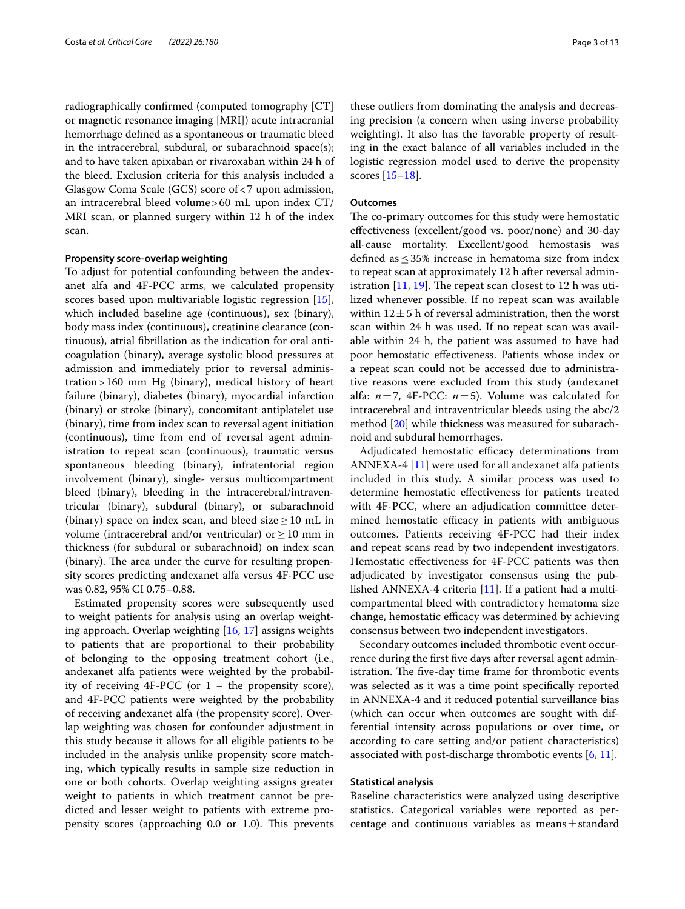radiographically confrmed (computed tomography [CT] or magnetic resonance imaging [MRI]) acute intracranial hemorrhage defned as a spontaneous or traumatic bleed in the intracerebral, subdural, or subarachnoid space(s); and to have taken apixaban or rivaroxaban within 24 h of the bleed. Exclusion criteria for this analysis included a Glasgow Coma Scale (GCS) score of<7 upon admission, an intracerebral bleed volume>60 mL upon index CT/ MRI scan, or planned surgery within 12 h of the index scan.

#### **Propensity score‑overlap weighting**

To adjust for potential confounding between the andexanet alfa and 4F-PCC arms, we calculated propensity scores based upon multivariable logistic regression [\[15](#page-11-12)], which included baseline age (continuous), sex (binary), body mass index (continuous), creatinine clearance (continuous), atrial fbrillation as the indication for oral anticoagulation (binary), average systolic blood pressures at admission and immediately prior to reversal administration>160 mm Hg (binary), medical history of heart failure (binary), diabetes (binary), myocardial infarction (binary) or stroke (binary), concomitant antiplatelet use (binary), time from index scan to reversal agent initiation (continuous), time from end of reversal agent administration to repeat scan (continuous), traumatic versus spontaneous bleeding (binary), infratentorial region involvement (binary), single- versus multicompartment bleed (binary), bleeding in the intracerebral/intraventricular (binary), subdural (binary), or subarachnoid (binary) space on index scan, and bleed size  $\geq 10$  mL in volume (intracerebral and/or ventricular) or  $\geq$  10 mm in thickness (for subdural or subarachnoid) on index scan (binary). The area under the curve for resulting propensity scores predicting andexanet alfa versus 4F-PCC use was 0.82, 95% CI 0.75–0.88.

Estimated propensity scores were subsequently used to weight patients for analysis using an overlap weighting approach. Overlap weighting [\[16,](#page-11-13) [17\]](#page-11-14) assigns weights to patients that are proportional to their probability of belonging to the opposing treatment cohort (i.e., andexanet alfa patients were weighted by the probability of receiving  $4F-PCC$  (or  $1$  – the propensity score), and 4F-PCC patients were weighted by the probability of receiving andexanet alfa (the propensity score). Overlap weighting was chosen for confounder adjustment in this study because it allows for all eligible patients to be included in the analysis unlike propensity score matching, which typically results in sample size reduction in one or both cohorts. Overlap weighting assigns greater weight to patients in which treatment cannot be predicted and lesser weight to patients with extreme propensity scores (approaching 0.0 or 1.0). This prevents

these outliers from dominating the analysis and decreasing precision (a concern when using inverse probability weighting). It also has the favorable property of resulting in the exact balance of all variables included in the logistic regression model used to derive the propensity scores [[15](#page-11-12)[–18](#page-11-15)].

#### **Outcomes**

The co-primary outcomes for this study were hemostatic efectiveness (excellent/good vs. poor/none) and 30-day all-cause mortality. Excellent/good hemostasis was defined as  $\leq$  35% increase in hematoma size from index to repeat scan at approximately 12 h after reversal administration  $[11, 19]$  $[11, 19]$  $[11, 19]$  $[11, 19]$ . The repeat scan closest to 12 h was utilized whenever possible. If no repeat scan was available within  $12 \pm 5$  h of reversal administration, then the worst scan within 24 h was used. If no repeat scan was available within 24 h, the patient was assumed to have had poor hemostatic efectiveness. Patients whose index or a repeat scan could not be accessed due to administrative reasons were excluded from this study (andexanet alfa: *n*=7, 4F-PCC: *n*=5). Volume was calculated for intracerebral and intraventricular bleeds using the abc/2 method [\[20](#page-12-1)] while thickness was measured for subarachnoid and subdural hemorrhages.

Adjudicated hemostatic efficacy determinations from ANNEXA-4 [\[11](#page-11-8)] were used for all andexanet alfa patients included in this study. A similar process was used to determine hemostatic efectiveness for patients treated with 4F-PCC, where an adjudication committee determined hemostatic efficacy in patients with ambiguous outcomes. Patients receiving 4F-PCC had their index and repeat scans read by two independent investigators. Hemostatic efectiveness for 4F-PCC patients was then adjudicated by investigator consensus using the published ANNEXA-4 criteria [[11\]](#page-11-8). If a patient had a multicompartmental bleed with contradictory hematoma size change, hemostatic efficacy was determined by achieving consensus between two independent investigators.

Secondary outcomes included thrombotic event occurrence during the frst fve days after reversal agent administration. The five-day time frame for thrombotic events was selected as it was a time point specifcally reported in ANNEXA-4 and it reduced potential surveillance bias (which can occur when outcomes are sought with differential intensity across populations or over time, or according to care setting and/or patient characteristics) associated with post-discharge thrombotic events [\[6](#page-11-3), [11\]](#page-11-8).

#### **Statistical analysis**

Baseline characteristics were analyzed using descriptive statistics. Categorical variables were reported as percentage and continuous variables as means $\pm$ standard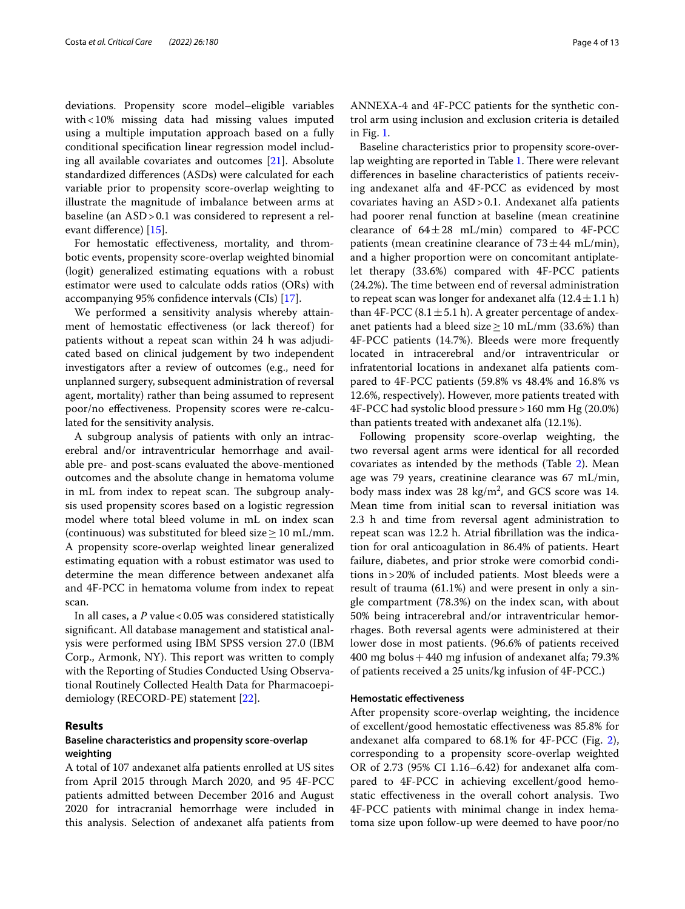deviations. Propensity score model–eligible variables with<10% missing data had missing values imputed using a multiple imputation approach based on a fully conditional specifcation linear regression model including all available covariates and outcomes [\[21\]](#page-12-2). Absolute standardized diferences (ASDs) were calculated for each variable prior to propensity score-overlap weighting to illustrate the magnitude of imbalance between arms at baseline (an ASD>0.1 was considered to represent a relevant diference) [\[15](#page-11-12)].

For hemostatic efectiveness, mortality, and thrombotic events, propensity score-overlap weighted binomial (logit) generalized estimating equations with a robust estimator were used to calculate odds ratios (ORs) with accompanying 95% confdence intervals (CIs) [\[17\]](#page-11-14).

We performed a sensitivity analysis whereby attainment of hemostatic efectiveness (or lack thereof) for patients without a repeat scan within 24 h was adjudicated based on clinical judgement by two independent investigators after a review of outcomes (e.g., need for unplanned surgery, subsequent administration of reversal agent, mortality) rather than being assumed to represent poor/no efectiveness. Propensity scores were re-calculated for the sensitivity analysis.

A subgroup analysis of patients with only an intracerebral and/or intraventricular hemorrhage and available pre- and post-scans evaluated the above-mentioned outcomes and the absolute change in hematoma volume in mL from index to repeat scan. The subgroup analysis used propensity scores based on a logistic regression model where total bleed volume in mL on index scan (continuous) was substituted for bleed size > 10 mL/mm. A propensity score-overlap weighted linear generalized estimating equation with a robust estimator was used to determine the mean diference between andexanet alfa and 4F-PCC in hematoma volume from index to repeat scan.

In all cases, a *P* value < 0.05 was considered statistically signifcant. All database management and statistical analysis were performed using IBM SPSS version 27.0 (IBM Corp., Armonk, NY). This report was written to comply with the Reporting of Studies Conducted Using Observational Routinely Collected Health Data for Pharmacoepidemiology (RECORD-PE) statement [[22\]](#page-12-3).

#### **Results**

#### **Baseline characteristics and propensity score‑overlap weighting**

A total of 107 andexanet alfa patients enrolled at US sites from April 2015 through March 2020, and 95 4F-PCC patients admitted between December 2016 and August 2020 for intracranial hemorrhage were included in this analysis. Selection of andexanet alfa patients from ANNEXA-4 and 4F-PCC patients for the synthetic control arm using inclusion and exclusion criteria is detailed in Fig. [1](#page-4-0).

Baseline characteristics prior to propensity score-over-lap weighting are reported in Table [1.](#page-5-0) There were relevant diferences in baseline characteristics of patients receiving andexanet alfa and 4F-PCC as evidenced by most covariates having an ASD>0.1. Andexanet alfa patients had poorer renal function at baseline (mean creatinine clearance of  $64\pm28$  mL/min) compared to 4F-PCC patients (mean creatinine clearance of  $73 \pm 44$  mL/min), and a higher proportion were on concomitant antiplatelet therapy (33.6%) compared with 4F-PCC patients  $(24.2%)$ . The time between end of reversal administration to repeat scan was longer for andexanet alfa  $(12.4 \pm 1.1 \text{ h})$ than 4F-PCC (8.1  $\pm$  5.1 h). A greater percentage of andexanet patients had a bleed size  $\geq$  10 mL/mm (33.6%) than 4F-PCC patients (14.7%). Bleeds were more frequently located in intracerebral and/or intraventricular or infratentorial locations in andexanet alfa patients compared to 4F-PCC patients (59.8% vs 48.4% and 16.8% vs 12.6%, respectively). However, more patients treated with 4F-PCC had systolic blood pressure>160 mm Hg (20.0%) than patients treated with andexanet alfa (12.1%).

Following propensity score-overlap weighting, the two reversal agent arms were identical for all recorded covariates as intended by the methods (Table [2\)](#page-6-0). Mean age was 79 years, creatinine clearance was 67 mL/min, body mass index was  $28 \text{ kg/m}^2$ , and GCS score was 14. Mean time from initial scan to reversal initiation was 2.3 h and time from reversal agent administration to repeat scan was 12.2 h. Atrial fbrillation was the indication for oral anticoagulation in 86.4% of patients. Heart failure, diabetes, and prior stroke were comorbid conditions in>20% of included patients. Most bleeds were a result of trauma (61.1%) and were present in only a single compartment (78.3%) on the index scan, with about 50% being intracerebral and/or intraventricular hemorrhages. Both reversal agents were administered at their lower dose in most patients. (96.6% of patients received 400 mg bolus  $+440$  mg infusion of andexanet alfa; 79.3% of patients received a 25 units/kg infusion of 4F-PCC.)

#### **Hemostatic efectiveness**

After propensity score-overlap weighting, the incidence of excellent/good hemostatic efectiveness was 85.8% for andexanet alfa compared to 68.1% for 4F-PCC (Fig. [2](#page-7-0)), corresponding to a propensity score-overlap weighted OR of 2.73 (95% CI 1.16–6.42) for andexanet alfa compared to 4F-PCC in achieving excellent/good hemostatic efectiveness in the overall cohort analysis. Two 4F-PCC patients with minimal change in index hematoma size upon follow-up were deemed to have poor/no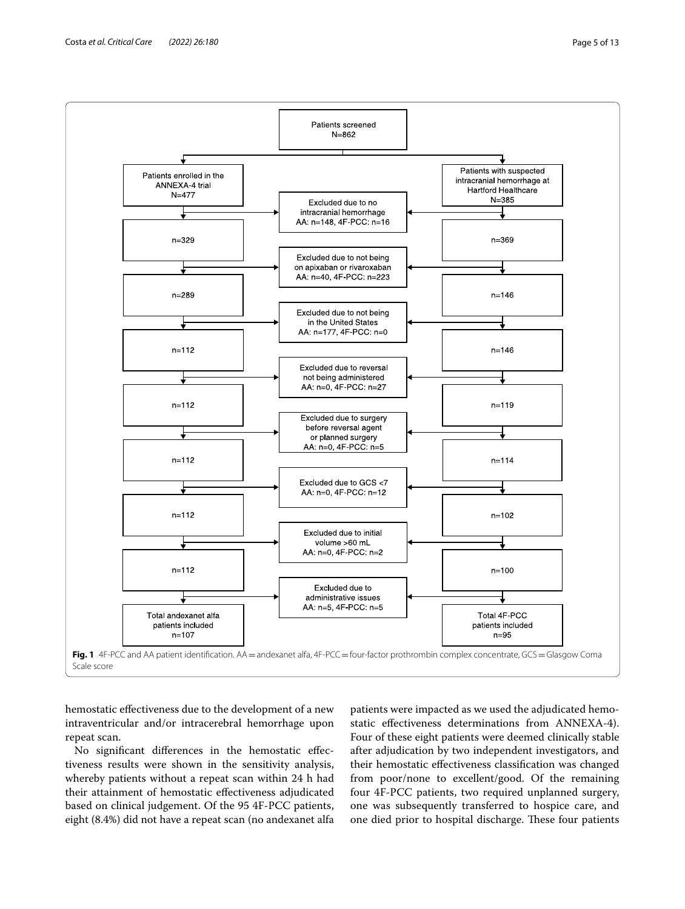

<span id="page-4-0"></span>hemostatic effectiveness due to the development of a new intraventricular and/or intracerebral hemorrhage upon repeat scan.

No signifcant diferences in the hemostatic efectiveness results were shown in the sensitivity analysis, whereby patients without a repeat scan within 24 h had their attainment of hemostatic efectiveness adjudicated based on clinical judgement. Of the 95 4F-PCC patients, eight (8.4%) did not have a repeat scan (no andexanet alfa

patients were impacted as we used the adjudicated hemostatic efectiveness determinations from ANNEXA-4). Four of these eight patients were deemed clinically stable after adjudication by two independent investigators, and their hemostatic efectiveness classifcation was changed from poor/none to excellent/good. Of the remaining four 4F-PCC patients, two required unplanned surgery, one was subsequently transferred to hospice care, and one died prior to hospital discharge. These four patients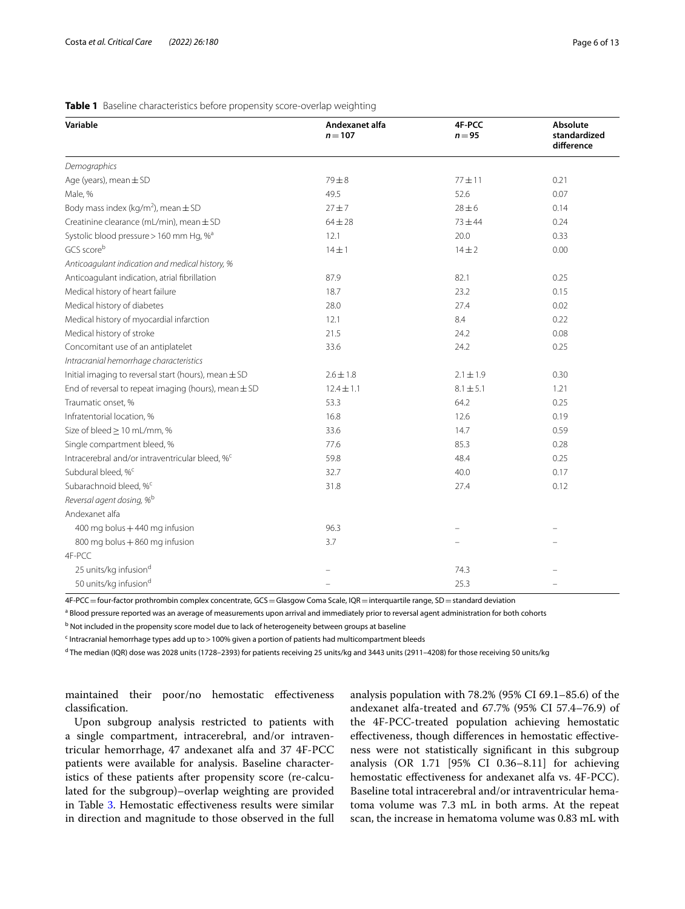#### <span id="page-5-0"></span>**Table 1** Baseline characteristics before propensity score-overlap weighting

| Variable                                                    | Andexanet alfa | 4F-PCC        | Absolute                   |  |
|-------------------------------------------------------------|----------------|---------------|----------------------------|--|
|                                                             | $n = 107$      | $n = 95$      | standardized<br>difference |  |
| Demographics                                                |                |               |                            |  |
| Age (years), mean $\pm$ SD                                  | $79\pm8$       | $77 + 11$     | 0.21                       |  |
| Male, %                                                     | 49.5           | 52.6          | 0.07                       |  |
| Body mass index (kg/m <sup>2</sup> ), mean $\pm$ SD         | $27 + 7$       | $28 \pm 6$    | 0.14                       |  |
| Creatinine clearance (mL/min), mean ± SD                    | $64 \pm 28$    | $73 + 44$     | 0.24                       |  |
| Systolic blood pressure > 160 mm Hg, % <sup>a</sup>         | 12.1           | 20.0          | 0.33                       |  |
| GCS scoreb                                                  | $14 \pm 1$     | $14 \pm 2$    | 0.00                       |  |
| Anticoagulant indication and medical history, %             |                |               |                            |  |
| Anticoagulant indication, atrial fibrillation               | 87.9           | 82.1          | 0.25                       |  |
| Medical history of heart failure                            | 18.7           | 23.2          | 0.15                       |  |
| Medical history of diabetes                                 | 28.0           | 27.4          | 0.02                       |  |
| Medical history of myocardial infarction                    | 12.1           | 8.4           | 0.22                       |  |
| Medical history of stroke                                   | 21.5           | 24.2          | 0.08                       |  |
| Concomitant use of an antiplatelet                          | 33.6           | 24.2          | 0.25                       |  |
| Intracranial hemorrhage characteristics                     |                |               |                            |  |
| Initial imaging to reversal start (hours), mean $\pm$ SD    | $2.6 \pm 1.8$  | $2.1 \pm 1.9$ | 0.30                       |  |
| End of reversal to repeat imaging (hours), mean $\pm$ SD    | $12.4 \pm 1.1$ | $8.1 \pm 5.1$ | 1.21                       |  |
| Traumatic onset, %                                          | 53.3           | 64.2          | 0.25                       |  |
| Infratentorial location, %                                  | 16.8           | 12.6          | 0.19                       |  |
| Size of bleed ≥ 10 mL/mm, %                                 | 33.6           | 14.7          | 0.59                       |  |
| Single compartment bleed, %                                 | 77.6           | 85.3          | 0.28                       |  |
| Intracerebral and/or intraventricular bleed, % <sup>c</sup> | 59.8           | 48.4          | 0.25                       |  |
| Subdural bleed, % <sup>c</sup>                              | 32.7           | 40.0          | 0.17                       |  |
| Subarachnoid bleed, % <sup>c</sup>                          | 31.8           | 27.4          | 0.12                       |  |
| Reversal agent dosing, % <sup>b</sup>                       |                |               |                            |  |
| Andexanet alfa                                              |                |               |                            |  |
| 400 mg bolus + 440 mg infusion                              | 96.3           |               |                            |  |
| 800 mg bolus + 860 mg infusion                              | 3.7            |               |                            |  |
| 4F-PCC                                                      |                |               |                            |  |
| 25 units/kg infusiond                                       |                | 74.3          |                            |  |
| 50 units/kg infusiond                                       |                | 25.3          |                            |  |

4F-PCC=four-factor prothrombin complex concentrate, GCS=Glasgow Coma Scale, IQR=interquartile range, SD=standard deviation

<sup>a</sup> Blood pressure reported was an average of measurements upon arrival and immediately prior to reversal agent administration for both cohorts

<sup>b</sup> Not included in the propensity score model due to lack of heterogeneity between groups at baseline

<sup>c</sup> Intracranial hemorrhage types add up to > 100% given a portion of patients had multicompartment bleeds

<sup>d</sup> The median (IQR) dose was 2028 units (1728–2393) for patients receiving 25 units/kg and 3443 units (2911–4208) for those receiving 50 units/kg

maintained their poor/no hemostatic efectiveness classifcation.

Upon subgroup analysis restricted to patients with a single compartment, intracerebral, and/or intraventricular hemorrhage, 47 andexanet alfa and 37 4F-PCC patients were available for analysis. Baseline characteristics of these patients after propensity score (re-calculated for the subgroup)–overlap weighting are provided in Table [3](#page-7-1). Hemostatic efectiveness results were similar in direction and magnitude to those observed in the full analysis population with 78.2% (95% CI 69.1–85.6) of the andexanet alfa-treated and 67.7% (95% CI 57.4–76.9) of the 4F-PCC-treated population achieving hemostatic efectiveness, though diferences in hemostatic efectiveness were not statistically signifcant in this subgroup analysis (OR 1.71 [95% CI 0.36–8.11] for achieving hemostatic efectiveness for andexanet alfa vs. 4F-PCC). Baseline total intracerebral and/or intraventricular hematoma volume was 7.3 mL in both arms. At the repeat scan, the increase in hematoma volume was 0.83 mL with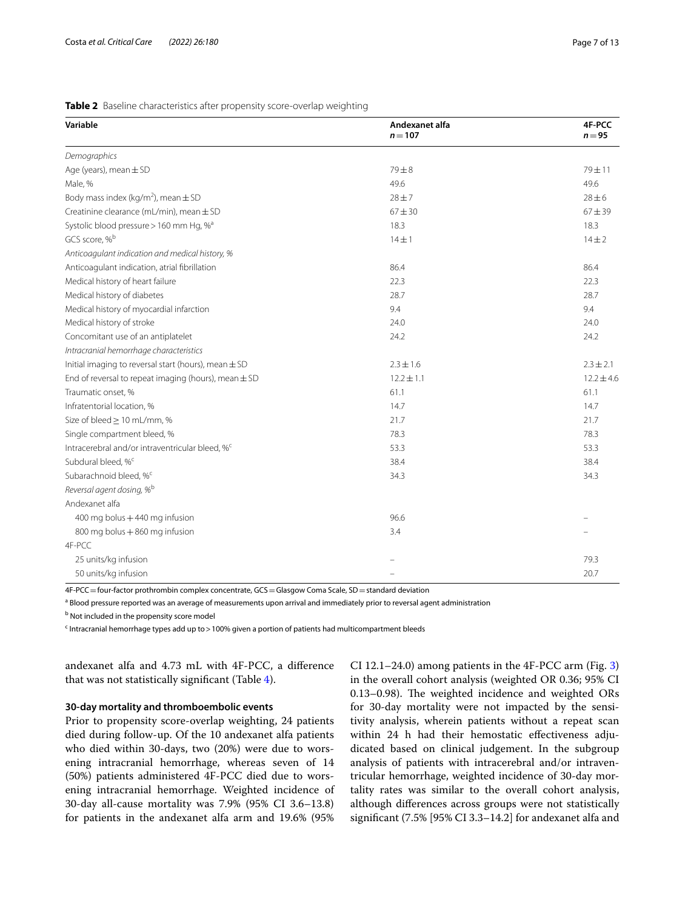#### <span id="page-6-0"></span>**Table 2** Baseline characteristics after propensity score-overlap weighting

| Variable                                                    | Andexanet alfa<br>$n = 107$ | 4F-PCC<br>$n = 95$ |
|-------------------------------------------------------------|-----------------------------|--------------------|
| Demographics                                                |                             |                    |
| Age (years), mean $\pm$ SD                                  | $79 + 8$                    | $79 + 11$          |
| Male, %                                                     | 49.6                        | 49.6               |
| Body mass index (kg/m <sup>2</sup> ), mean $\pm$ SD         | $28 + 7$                    | $28 \pm 6$         |
| Creatinine clearance (mL/min), mean ± SD                    | $67 + 30$                   | $67 + 39$          |
| Systolic blood pressure > 160 mm Hg, % <sup>a</sup>         | 18.3                        | 18.3               |
| GCS score, % <sup>b</sup>                                   | $14 \pm 1$                  | $14 + 2$           |
| Anticoagulant indication and medical history, %             |                             |                    |
| Anticoagulant indication, atrial fibrillation               | 86.4                        | 86.4               |
| Medical history of heart failure                            | 22.3                        | 22.3               |
| Medical history of diabetes                                 | 28.7                        | 28.7               |
| Medical history of myocardial infarction                    | 9.4                         | 9.4                |
| Medical history of stroke                                   | 24.0                        | 24.0               |
| Concomitant use of an antiplatelet                          | 24.2                        | 24.2               |
| Intracranial hemorrhage characteristics                     |                             |                    |
| Initial imaging to reversal start (hours), mean $\pm$ SD    | $2.3 \pm 1.6$               | $2.3 \pm 2.1$      |
| End of reversal to repeat imaging (hours), mean $\pm$ SD    | $12.2 \pm 1.1$              | $12.2 \pm 4.6$     |
| Traumatic onset, %                                          | 61.1                        | 61.1               |
| Infratentorial location, %                                  | 14.7                        | 14.7               |
| Size of bleed ≥ 10 mL/mm, %                                 | 21.7                        | 21.7               |
| Single compartment bleed, %                                 | 78.3                        | 78.3               |
| Intracerebral and/or intraventricular bleed, % <sup>c</sup> | 53.3                        | 53.3               |
| Subdural bleed, % <sup>c</sup>                              | 38.4                        | 38.4               |
| Subarachnoid bleed, % <sup>c</sup>                          | 34.3                        | 34.3               |
| Reversal agent dosing, % <sup>b</sup>                       |                             |                    |
| Andexanet alfa                                              |                             |                    |
| 400 mg bolus + 440 mg infusion                              | 96.6                        |                    |
| 800 mg bolus + 860 mg infusion                              | 3.4                         |                    |
| 4F-PCC                                                      |                             |                    |
| 25 units/kg infusion                                        |                             | 79.3               |
| 50 units/kg infusion                                        |                             | 20.7               |

4F-PCC=four-factor prothrombin complex concentrate, GCS=Glasgow Coma Scale, SD=standard deviation

<sup>a</sup> Blood pressure reported was an average of measurements upon arrival and immediately prior to reversal agent administration

<sup>b</sup> Not included in the propensity score model

<sup>c</sup> Intracranial hemorrhage types add up to > 100% given a portion of patients had multicompartment bleeds

andexanet alfa and 4.73 mL with 4F-PCC, a diference that was not statistically signifcant (Table [4](#page-8-0)).

#### **30‑day mortality and thromboembolic events**

Prior to propensity score-overlap weighting, 24 patients died during follow-up. Of the 10 andexanet alfa patients who died within 30-days, two (20%) were due to worsening intracranial hemorrhage, whereas seven of 14 (50%) patients administered 4F-PCC died due to worsening intracranial hemorrhage. Weighted incidence of 30-day all-cause mortality was 7.9% (95% CI 3.6–13.8) for patients in the andexanet alfa arm and 19.6% (95% CI 12.1–24.0) among patients in the 4F-PCC arm (Fig. [3](#page-8-1)) in the overall cohort analysis (weighted OR 0.36; 95% CI  $0.13-0.98$ ). The weighted incidence and weighted ORs for 30-day mortality were not impacted by the sensitivity analysis, wherein patients without a repeat scan within 24 h had their hemostatic effectiveness adjudicated based on clinical judgement. In the subgroup analysis of patients with intracerebral and/or intraventricular hemorrhage, weighted incidence of 30-day mortality rates was similar to the overall cohort analysis, although diferences across groups were not statistically signifcant (7.5% [95% CI 3.3–14.2] for andexanet alfa and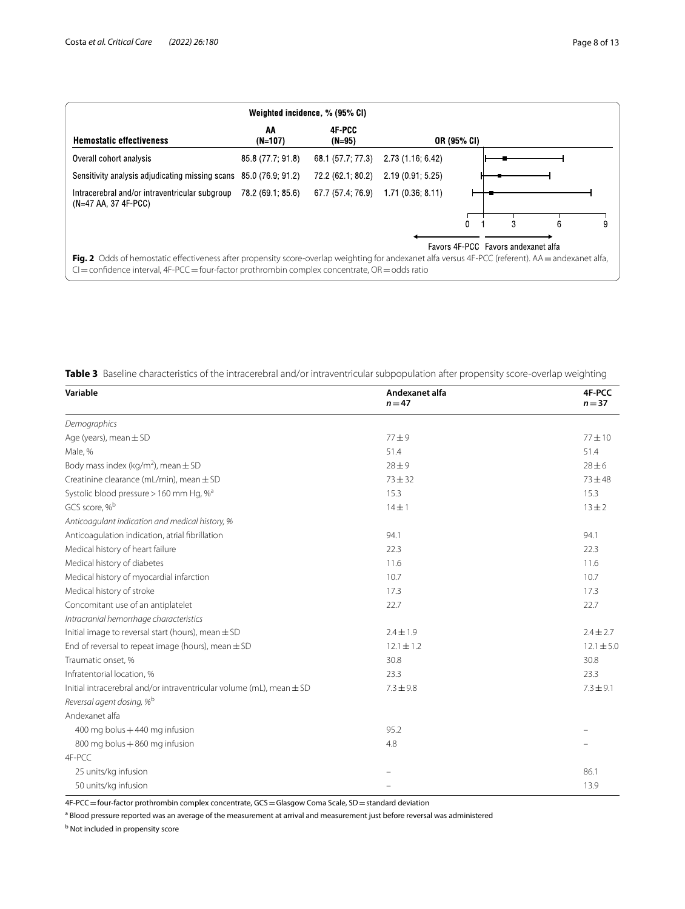| Weighted incidence, % (95% CI)                                       |                    |                   |                                                                                                   |             |   |                                                                                                                                                                                                |
|----------------------------------------------------------------------|--------------------|-------------------|---------------------------------------------------------------------------------------------------|-------------|---|------------------------------------------------------------------------------------------------------------------------------------------------------------------------------------------------|
| AA<br>$(N=107)$                                                      | 4F-PCC<br>$(N=95)$ |                   |                                                                                                   |             |   |                                                                                                                                                                                                |
| 85.8 (77.7; 91.8)                                                    | 68.1 (57.7; 77.3)  | 2.73 (1.16; 6.42) |                                                                                                   |             |   |                                                                                                                                                                                                |
| 85.0 (76.9: 91.2)<br>Sensitivity analysis adjudicating missing scans | 72.2 (62.1; 80.2)  | 2.19(0.91; 5.25)  |                                                                                                   |             |   |                                                                                                                                                                                                |
| 78.2 (69.1; 85.6)                                                    | 67.7 (57.4; 76.9)  | 1.71(0.36: 8.11)  |                                                                                                   |             |   |                                                                                                                                                                                                |
|                                                                      |                    |                   | 0                                                                                                 |             | 6 |                                                                                                                                                                                                |
|                                                                      |                    |                   |                                                                                                   |             |   |                                                                                                                                                                                                |
|                                                                      |                    |                   | $Cl =$ confidence interval, 4F-PCC = four-factor prothrombin complex concentrate, OR = odds ratio | OR (95% CI) |   | 3<br>Favors 4F-PCC Favors andexanet alfa<br>Fig. 2 Odds of hemostatic effectiveness after propensity score-overlap weighting for andexanet alfa versus 4F-PCC (referent). AA = andexanet alfa, |

<span id="page-7-1"></span><span id="page-7-0"></span>**Table 3** Baseline characteristics of the intracerebral and/or intraventricular subpopulation after propensity score-overlap weighting

| Variable                                                                 | Andexanet alfa<br>$n = 47$ | 4F-PCC<br>$n = 37$ |
|--------------------------------------------------------------------------|----------------------------|--------------------|
| Demographics                                                             |                            |                    |
| Age (years), mean $\pm$ SD                                               | $77 + 9$                   | $77 + 10$          |
| Male, %                                                                  | 51.4                       | 51.4               |
| Body mass index (kg/m <sup>2</sup> ), mean $\pm$ SD                      | $28 + 9$                   | $28 \pm 6$         |
| Creatinine clearance (mL/min), mean ± SD                                 | $73 + 32$                  | $73 + 48$          |
| Systolic blood pressure > 160 mm Hg, % <sup>a</sup>                      | 15.3                       | 15.3               |
| GCS score, % <sup>b</sup>                                                | $14 \pm 1$                 | $13 + 2$           |
| Anticoagulant indication and medical history, %                          |                            |                    |
| Anticoagulation indication, atrial fibrillation                          | 94.1                       | 94.1               |
| Medical history of heart failure                                         | 22.3                       | 22.3               |
| Medical history of diabetes                                              | 11.6                       | 11.6               |
| Medical history of myocardial infarction                                 | 10.7                       | 10.7               |
| Medical history of stroke                                                | 17.3                       | 17.3               |
| Concomitant use of an antiplatelet                                       | 22.7                       | 22.7               |
| Intracranial hemorrhage characteristics                                  |                            |                    |
| Initial image to reversal start (hours), mean $\pm$ SD                   | $2.4 \pm 1.9$              | $2.4 \pm 2.7$      |
| End of reversal to repeat image (hours), mean $\pm$ SD                   | $12.1 \pm 1.2$             | $12.1 \pm 5.0$     |
| Traumatic onset, %                                                       | 30.8                       | 30.8               |
| Infratentorial location, %                                               | 23.3                       | 23.3               |
| Initial intracerebral and/or intraventricular volume (mL), mean $\pm$ SD | $7.3 \pm 9.8$              | $7.3 \pm 9.1$      |
| Reversal agent dosing, % <sup>b</sup>                                    |                            |                    |
| Andexanet alfa                                                           |                            |                    |
| 400 mg bolus +440 mg infusion                                            | 95.2                       |                    |
| 800 mg bolus + 860 mg infusion                                           | 4.8                        |                    |
| 4F-PCC                                                                   |                            |                    |
| 25 units/kg infusion                                                     |                            | 86.1               |
| 50 units/kg infusion                                                     |                            | 13.9               |

4F-PCC = four-factor prothrombin complex concentrate, GCS = Glasgow Coma Scale, SD = standard deviation

<sup>a</sup> Blood pressure reported was an average of the measurement at arrival and measurement just before reversal was administered

<sup>b</sup> Not included in propensity score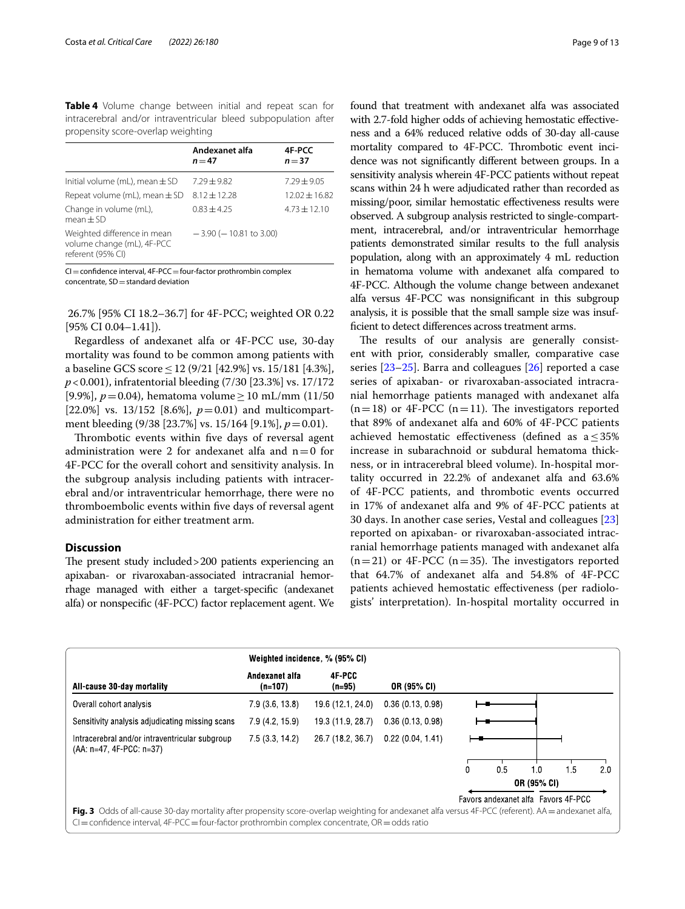<span id="page-8-0"></span>**Table 4** Volume change between initial and repeat scan for intracerebral and/or intraventricular bleed subpopulation after propensity score-overlap weighting

|                                                                                | Andexanet alfa<br>$n = 47$  | 4F-PCC<br>$n = 37$ |
|--------------------------------------------------------------------------------|-----------------------------|--------------------|
| Initial volume (mL), mean $\pm$ SD                                             | $7.29 + 9.82$               | $7.29 + 9.05$      |
| Repeat volume (mL), mean $\pm$ SD                                              | $8.12 + 12.28$              | $12.02 \pm 16.82$  |
| Change in volume (mL),<br>$mean + SD$                                          | $0.83 + 4.25$               | $4.73 + 12.10$     |
| Weighted difference in mean<br>volume change (mL), 4F-PCC<br>referent (95% CI) | $-3.90$ ( $-10.81$ to 3.00) |                    |

 $CI =$ confidence interval,  $4F-PCC =$ four-factor prothrombin complex  $concentrate$ ,  $SD = standard deviation$ 

 26.7% [95% CI 18.2–36.7] for 4F-PCC; weighted OR 0.22 [95% CI 0.04–1.41]).

Regardless of andexanet alfa or 4F-PCC use, 30-day mortality was found to be common among patients with a baseline GCS score  $\leq$  12 (9/21 [42.9%] vs. 15/181 [4.3%], *p*<0.001), infratentorial bleeding (7/30 [23.3%] vs. 17/172 [9.9%], *p*=0.04), hematoma volume≥10 mL/mm (11/50 [22.0%] vs. 13/152 [8.6%],  $p=0.01$ ) and multicompartment bleeding (9/38 [23.7%] vs. 15/164 [9.1%], *p*=0.01).

Thrombotic events within five days of reversal agent administration were 2 for andexanet alfa and  $n=0$  for 4F-PCC for the overall cohort and sensitivity analysis. In the subgroup analysis including patients with intracerebral and/or intraventricular hemorrhage, there were no thromboembolic events within fve days of reversal agent administration for either treatment arm.

#### **Discussion**

The present study included > 200 patients experiencing an apixaban- or rivaroxaban-associated intracranial hemorrhage managed with either a target-specifc (andexanet alfa) or nonspecifc (4F-PCC) factor replacement agent. We found that treatment with andexanet alfa was associated with 2.7-fold higher odds of achieving hemostatic efectiveness and a 64% reduced relative odds of 30-day all-cause mortality compared to 4F-PCC. Thrombotic event incidence was not signifcantly diferent between groups. In a sensitivity analysis wherein 4F-PCC patients without repeat scans within 24 h were adjudicated rather than recorded as missing/poor, similar hemostatic efectiveness results were observed. A subgroup analysis restricted to single-compartment, intracerebral, and/or intraventricular hemorrhage patients demonstrated similar results to the full analysis population, along with an approximately 4 mL reduction in hematoma volume with andexanet alfa compared to 4F-PCC. Although the volume change between andexanet alfa versus 4F-PCC was nonsignifcant in this subgroup analysis, it is possible that the small sample size was insuffcient to detect diferences across treatment arms.

The results of our analysis are generally consistent with prior, considerably smaller, comparative case series [[23–](#page-12-4)[25](#page-12-5)]. Barra and colleagues [\[26](#page-12-6)] reported a case series of apixaban- or rivaroxaban-associated intracranial hemorrhage patients managed with andexanet alfa  $(n=18)$  or 4F-PCC  $(n=11)$ . The investigators reported that 89% of andexanet alfa and 60% of 4F-PCC patients achieved hemostatic efectiveness (defned as a≤35% increase in subarachnoid or subdural hematoma thickness, or in intracerebral bleed volume). In-hospital mortality occurred in 22.2% of andexanet alfa and 63.6% of 4F-PCC patients, and thrombotic events occurred in 17% of andexanet alfa and 9% of 4F-PCC patients at 30 days. In another case series, Vestal and colleagues [[23](#page-12-4)] reported on apixaban- or rivaroxaban-associated intracranial hemorrhage patients managed with andexanet alfa  $(n=21)$  or 4F-PCC  $(n=35)$ . The investigators reported that 64.7% of andexanet alfa and 54.8% of 4F-PCC patients achieved hemostatic efectiveness (per radiologists' interpretation). In-hospital mortality occurred in

<span id="page-8-1"></span>

|                                                                                                                                                                                                                                                           | Weighted incidence, % (95% CI) |                    |                  |             |     |     |                                     |     |
|-----------------------------------------------------------------------------------------------------------------------------------------------------------------------------------------------------------------------------------------------------------|--------------------------------|--------------------|------------------|-------------|-----|-----|-------------------------------------|-----|
| All-cause 30-day mortality                                                                                                                                                                                                                                | Andexanet alfa<br>$(n=107)$    | 4F-PCC<br>$(n=95)$ | OR (95% CI)      |             |     |     |                                     |     |
| Overall cohort analysis                                                                                                                                                                                                                                   | 7.9(3.6, 13.8)                 | 19.6 (12.1, 24.0)  | 0.36(0.13, 0.98) |             |     |     |                                     |     |
| Sensitivity analysis adjudicating missing scans                                                                                                                                                                                                           | 7.9 (4.2, 15.9)                | 19.3 (11.9, 28.7)  | 0.36(0.13, 0.98) |             |     |     |                                     |     |
| Intracerebral and/or intraventricular subgroup<br>(AA: n=47, 4F-PCC: n=37)                                                                                                                                                                                | 7.5(3.3, 14.2)                 | 26.7 (18.2, 36.7)  | 0.22(0.04, 1.41) |             |     |     |                                     |     |
|                                                                                                                                                                                                                                                           |                                |                    |                  | $\Omega$    | 0.5 | 1.0 | 1.5                                 | 2.0 |
|                                                                                                                                                                                                                                                           |                                |                    |                  | OR (95% CI) |     |     |                                     |     |
|                                                                                                                                                                                                                                                           |                                |                    |                  |             |     |     | Favors andexanet alfa Favors 4F-PCC |     |
| Fig. 3 Odds of all-cause 30-day mortality after propensity score-overlap weighting for andexanet alfa versus 4F-PCC (referent). AA = andexanet alfa,<br>$Cl =$ confidence interval, 4F-PCC = four-factor prothrombin complex concentrate, OR = odds ratio |                                |                    |                  |             |     |     |                                     |     |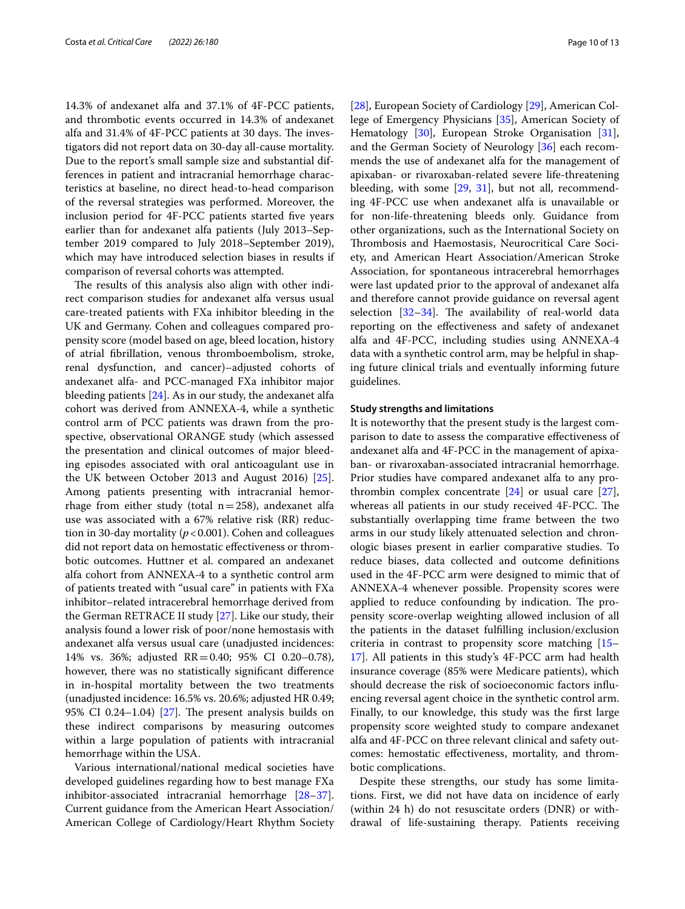14.3% of andexanet alfa and 37.1% of 4F-PCC patients, and thrombotic events occurred in 14.3% of andexanet alfa and 31.4% of 4F-PCC patients at 30 days. The investigators did not report data on 30-day all-cause mortality. Due to the report's small sample size and substantial differences in patient and intracranial hemorrhage characteristics at baseline, no direct head-to-head comparison of the reversal strategies was performed. Moreover, the inclusion period for 4F-PCC patients started fve years earlier than for andexanet alfa patients (July 2013–September 2019 compared to July 2018–September 2019), which may have introduced selection biases in results if comparison of reversal cohorts was attempted.

The results of this analysis also align with other indirect comparison studies for andexanet alfa versus usual care-treated patients with FXa inhibitor bleeding in the UK and Germany. Cohen and colleagues compared propensity score (model based on age, bleed location, history of atrial fbrillation, venous thromboembolism, stroke, renal dysfunction, and cancer)–adjusted cohorts of andexanet alfa- and PCC-managed FXa inhibitor major bleeding patients [\[24\]](#page-12-7). As in our study, the andexanet alfa cohort was derived from ANNEXA-4, while a synthetic control arm of PCC patients was drawn from the prospective, observational ORANGE study (which assessed the presentation and clinical outcomes of major bleeding episodes associated with oral anticoagulant use in the UK between October 2013 and August 2016) [\[25](#page-12-5)]. Among patients presenting with intracranial hemorrhage from either study (total  $n=258$ ), andexanet alfa use was associated with a 67% relative risk (RR) reduction in 30-day mortality (*p*<0.001). Cohen and colleagues did not report data on hemostatic efectiveness or thrombotic outcomes. Huttner et al. compared an andexanet alfa cohort from ANNEXA-4 to a synthetic control arm of patients treated with "usual care" in patients with FXa inhibitor–related intracerebral hemorrhage derived from the German RETRACE II study [\[27\]](#page-12-8). Like our study, their analysis found a lower risk of poor/none hemostasis with andexanet alfa versus usual care (unadjusted incidences: 14% vs. 36%; adjusted RR=0.40; 95% CI 0.20–0.78), however, there was no statistically signifcant diference in in-hospital mortality between the two treatments (unadjusted incidence: 16.5% vs. 20.6%; adjusted HR 0.49; 95% CI 0.24–1.04) [\[27\]](#page-12-8). The present analysis builds on these indirect comparisons by measuring outcomes within a large population of patients with intracranial hemorrhage within the USA.

Various international/national medical societies have developed guidelines regarding how to best manage FXa inhibitor-associated intracranial hemorrhage [[28](#page-12-9)[–37](#page-12-10)]. Current guidance from the American Heart Association/ American College of Cardiology/Heart Rhythm Society

[[28\]](#page-12-9), European Society of Cardiology [\[29](#page-12-11)], American College of Emergency Physicians [\[35](#page-12-12)], American Society of Hematology [[30](#page-12-13)], European Stroke Organisation [\[31](#page-12-14)], and the German Society of Neurology [[36\]](#page-12-15) each recommends the use of andexanet alfa for the management of apixaban- or rivaroxaban-related severe life-threatening bleeding, with some [[29,](#page-12-11) [31\]](#page-12-14), but not all, recommending 4F-PCC use when andexanet alfa is unavailable or for non-life-threatening bleeds only. Guidance from other organizations, such as the International Society on Thrombosis and Haemostasis, Neurocritical Care Society, and American Heart Association/American Stroke Association, for spontaneous intracerebral hemorrhages were last updated prior to the approval of andexanet alfa and therefore cannot provide guidance on reversal agent selection  $[32-34]$  $[32-34]$ . The availability of real-world data reporting on the efectiveness and safety of andexanet alfa and 4F-PCC, including studies using ANNEXA-4 data with a synthetic control arm, may be helpful in shaping future clinical trials and eventually informing future guidelines.

#### **Study strengths and limitations**

It is noteworthy that the present study is the largest comparison to date to assess the comparative efectiveness of andexanet alfa and 4F-PCC in the management of apixaban- or rivaroxaban-associated intracranial hemorrhage. Prior studies have compared andexanet alfa to any prothrombin complex concentrate  $[24]$  $[24]$  or usual care  $[27]$  $[27]$ , whereas all patients in our study received 4F-PCC. The substantially overlapping time frame between the two arms in our study likely attenuated selection and chronologic biases present in earlier comparative studies. To reduce biases, data collected and outcome defnitions used in the 4F-PCC arm were designed to mimic that of ANNEXA-4 whenever possible. Propensity scores were applied to reduce confounding by indication. The propensity score-overlap weighting allowed inclusion of all the patients in the dataset fulflling inclusion/exclusion criteria in contrast to propensity score matching [[15–](#page-11-12) [17\]](#page-11-14). All patients in this study's 4F-PCC arm had health insurance coverage (85% were Medicare patients), which should decrease the risk of socioeconomic factors infuencing reversal agent choice in the synthetic control arm. Finally, to our knowledge, this study was the frst large propensity score weighted study to compare andexanet alfa and 4F-PCC on three relevant clinical and safety outcomes: hemostatic efectiveness, mortality, and thrombotic complications.

Despite these strengths, our study has some limitations. First, we did not have data on incidence of early (within 24 h) do not resuscitate orders (DNR) or withdrawal of life-sustaining therapy. Patients receiving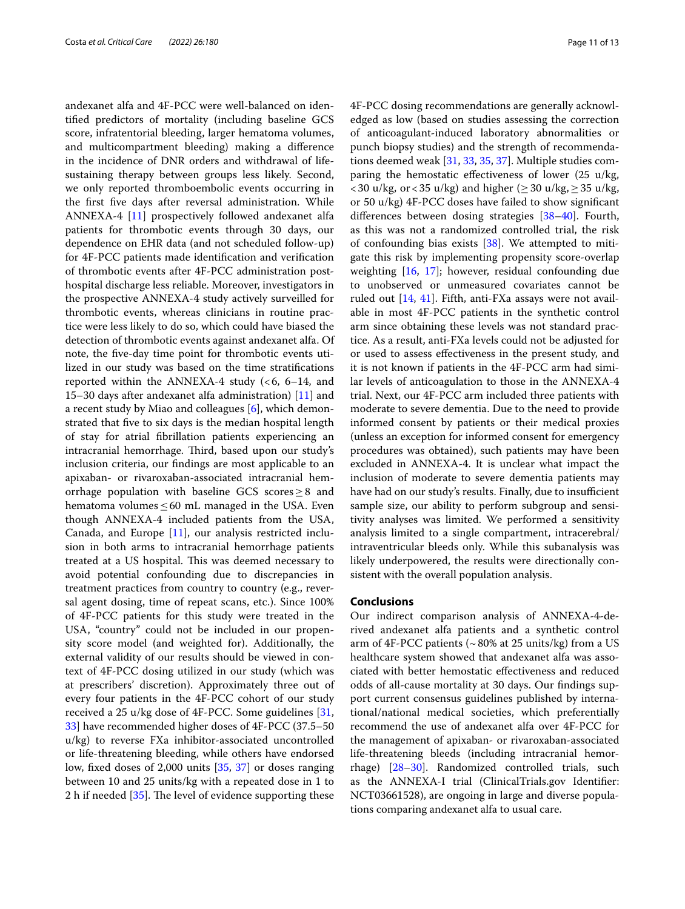andexanet alfa and 4F-PCC were well-balanced on identifed predictors of mortality (including baseline GCS score, infratentorial bleeding, larger hematoma volumes, and multicompartment bleeding) making a diference in the incidence of DNR orders and withdrawal of lifesustaining therapy between groups less likely. Second, we only reported thromboembolic events occurring in the frst fve days after reversal administration. While ANNEXA-4 [\[11](#page-11-8)] prospectively followed andexanet alfa patients for thrombotic events through 30 days, our dependence on EHR data (and not scheduled follow-up) for 4F-PCC patients made identifcation and verifcation of thrombotic events after 4F-PCC administration posthospital discharge less reliable. Moreover, investigators in the prospective ANNEXA-4 study actively surveilled for thrombotic events, whereas clinicians in routine practice were less likely to do so, which could have biased the detection of thrombotic events against andexanet alfa. Of note, the fve-day time point for thrombotic events utilized in our study was based on the time stratifcations reported within the ANNEXA-4 study  $(< 6, 6-14, 4$ 15–30 days after andexanet alfa administration) [\[11](#page-11-8)] and a recent study by Miao and colleagues  $[6]$  $[6]$ , which demonstrated that fve to six days is the median hospital length of stay for atrial fbrillation patients experiencing an intracranial hemorrhage. Third, based upon our study's inclusion criteria, our fndings are most applicable to an apixaban- or rivaroxaban-associated intracranial hemorrhage population with baseline GCS scores $\geq 8$  and hematoma volumes  $\leq 60$  mL managed in the USA. Even though ANNEXA-4 included patients from the USA, Canada, and Europe [[11\]](#page-11-8), our analysis restricted inclusion in both arms to intracranial hemorrhage patients treated at a US hospital. This was deemed necessary to avoid potential confounding due to discrepancies in treatment practices from country to country (e.g., reversal agent dosing, time of repeat scans, etc.). Since 100% of 4F-PCC patients for this study were treated in the USA, "country" could not be included in our propensity score model (and weighted for). Additionally, the external validity of our results should be viewed in context of 4F-PCC dosing utilized in our study (which was at prescribers' discretion). Approximately three out of every four patients in the 4F-PCC cohort of our study received a 25 u/kg dose of 4F-PCC. Some guidelines [\[31](#page-12-14), [33\]](#page-12-18) have recommended higher doses of 4F-PCC (37.5–50 u/kg) to reverse FXa inhibitor-associated uncontrolled or life-threatening bleeding, while others have endorsed low, fxed doses of 2,000 units [\[35](#page-12-12), [37\]](#page-12-10) or doses ranging between 10 and 25 units/kg with a repeated dose in 1 to 2 h if needed  $[35]$  $[35]$ . The level of evidence supporting these

4F-PCC dosing recommendations are generally acknowledged as low (based on studies assessing the correction of anticoagulant-induced laboratory abnormalities or punch biopsy studies) and the strength of recommendations deemed weak [\[31](#page-12-14), [33,](#page-12-18) [35,](#page-12-12) [37](#page-12-10)]. Multiple studies comparing the hemostatic efectiveness of lower (25 u/kg,  $<$  30 u/kg, or  $<$  35 u/kg) and higher ( $\geq$  30 u/kg,  $\geq$  35 u/kg, or 50 u/kg) 4F-PCC doses have failed to show signifcant diferences between dosing strategies [\[38](#page-12-19)[–40](#page-12-20)]. Fourth, as this was not a randomized controlled trial, the risk of confounding bias exists [\[38\]](#page-12-19). We attempted to mitigate this risk by implementing propensity score-overlap weighting [[16](#page-11-13), [17](#page-11-14)]; however, residual confounding due to unobserved or unmeasured covariates cannot be ruled out [[14,](#page-11-11) [41](#page-12-21)]. Fifth, anti-FXa assays were not available in most 4F-PCC patients in the synthetic control arm since obtaining these levels was not standard practice. As a result, anti-FXa levels could not be adjusted for or used to assess efectiveness in the present study, and it is not known if patients in the 4F-PCC arm had similar levels of anticoagulation to those in the ANNEXA-4 trial. Next, our 4F-PCC arm included three patients with moderate to severe dementia. Due to the need to provide informed consent by patients or their medical proxies (unless an exception for informed consent for emergency procedures was obtained), such patients may have been excluded in ANNEXA-4. It is unclear what impact the inclusion of moderate to severe dementia patients may have had on our study's results. Finally, due to insufficient sample size, our ability to perform subgroup and sensitivity analyses was limited. We performed a sensitivity analysis limited to a single compartment, intracerebral/ intraventricular bleeds only. While this subanalysis was likely underpowered, the results were directionally consistent with the overall population analysis.

#### **Conclusions**

Our indirect comparison analysis of ANNEXA-4-derived andexanet alfa patients and a synthetic control arm of 4F-PCC patients ( $\sim$  80% at 25 units/kg) from a US healthcare system showed that andexanet alfa was associated with better hemostatic efectiveness and reduced odds of all-cause mortality at 30 days. Our fndings support current consensus guidelines published by international/national medical societies, which preferentially recommend the use of andexanet alfa over 4F-PCC for the management of apixaban- or rivaroxaban-associated life-threatening bleeds (including intracranial hemorrhage) [\[28](#page-12-9)[–30](#page-12-13)]. Randomized controlled trials, such as the ANNEXA-I trial (ClinicalTrials.gov Identifer: NCT03661528), are ongoing in large and diverse populations comparing andexanet alfa to usual care.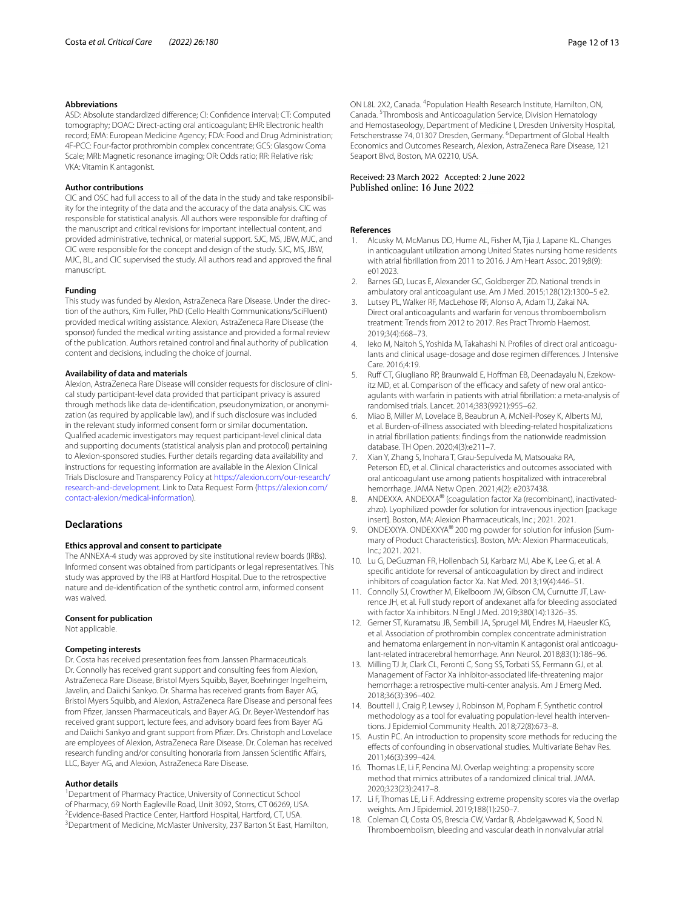#### **Abbreviations**

ASD: Absolute standardized diference; CI: Confdence interval; CT: Computed tomography; DOAC: Direct-acting oral anticoagulant; EHR: Electronic health record; EMA: European Medicine Agency; FDA: Food and Drug Administration; 4F-PCC: Four-factor prothrombin complex concentrate; GCS: Glasgow Coma Scale; MRI: Magnetic resonance imaging; OR: Odds ratio; RR: Relative risk; VKA: Vitamin K antagonist.

#### **Author contributions**

CIC and OSC had full access to all of the data in the study and take responsibility for the integrity of the data and the accuracy of the data analysis. CIC was responsible for statistical analysis. All authors were responsible for drafting of the manuscript and critical revisions for important intellectual content, and provided administrative, technical, or material support. SJC, MS, JBW, MJC, and CIC were responsible for the concept and design of the study. SJC, MS, JBW, MJC, BL, and CIC supervised the study. All authors read and approved the fnal manuscript.

#### **Funding**

This study was funded by Alexion, AstraZeneca Rare Disease. Under the direction of the authors, Kim Fuller, PhD (Cello Health Communications/SciFluent) provided medical writing assistance. Alexion, AstraZeneca Rare Disease (the sponsor) funded the medical writing assistance and provided a formal review of the publication. Authors retained control and fnal authority of publication content and decisions, including the choice of journal.

#### **Availability of data and materials**

Alexion, AstraZeneca Rare Disease will consider requests for disclosure of clinical study participant-level data provided that participant privacy is assured through methods like data de-identification, pseudonymization, or anonymization (as required by applicable law), and if such disclosure was included in the relevant study informed consent form or similar documentation. Qualifed academic investigators may request participant-level clinical data and supporting documents (statistical analysis plan and protocol) pertaining to Alexion-sponsored studies. Further details regarding data availability and instructions for requesting information are available in the Alexion Clinical Trials Disclosure and Transparency Policy at [https://alexion.com/our-research/](https://alexion.com/our-research/research-and-development) [research-and-development](https://alexion.com/our-research/research-and-development). Link to Data Request Form ([https://alexion.com/](https://alexion.com/contact-alexion/medical-information) [contact-alexion/medical-information\)](https://alexion.com/contact-alexion/medical-information).

#### **Declarations**

#### **Ethics approval and consent to participate**

The ANNEXA-4 study was approved by site institutional review boards (IRBs). Informed consent was obtained from participants or legal representatives. This study was approved by the IRB at Hartford Hospital. Due to the retrospective nature and de-identifcation of the synthetic control arm, informed consent was waived.

#### **Consent for publication**

Not applicable.

#### **Competing interests**

Dr. Costa has received presentation fees from Janssen Pharmaceuticals. Dr. Connolly has received grant support and consulting fees from Alexion, AstraZeneca Rare Disease, Bristol Myers Squibb, Bayer, Boehringer Ingelheim, Javelin, and Daiichi Sankyo. Dr. Sharma has received grants from Bayer AG, Bristol Myers Squibb, and Alexion, AstraZeneca Rare Disease and personal fees from Pfzer, Janssen Pharmaceuticals, and Bayer AG. Dr. Beyer-Westendorf has received grant support, lecture fees, and advisory board fees from Bayer AG and Daiichi Sankyo and grant support from Pfizer. Drs. Christoph and Lovelace are employees of Alexion, AstraZeneca Rare Disease. Dr. Coleman has received research funding and/or consulting honoraria from Janssen Scientifc Afairs, LLC, Bayer AG, and Alexion, AstraZeneca Rare Disease.

#### **Author details**

<sup>1</sup> Department of Pharmacy Practice, University of Connecticut School of Pharmacy, 69 North Eagleville Road, Unit 3092, Storrs, CT 06269, USA. 2 <sup>2</sup> Evidence-Based Practice Center, Hartford Hospital, Hartford, CT, USA. <sup>3</sup> Department of Medicine, McMaster University, 237 Barton St East, Hamilton,

ON L8L 2X2, Canada. <sup>4</sup> Population Health Research Institute, Hamilton, ON, Canada. 5 Thrombosis and Anticoagulation Service, Division Hematology and Hemostaseology, Department of Medicine I, Dresden University Hospital, Fetscherstrasse 74, 01307 Dresden, Germany. <sup>6</sup>Department of Global Health Economics and Outcomes Research, Alexion, AstraZeneca Rare Disease, 121 Seaport Blvd, Boston, MA 02210, USA.

## Received: 23 March 2022 Accepted: 2 June 2022<br>Published online: 16 June 2022

#### **References**

- <span id="page-11-0"></span>1. Alcusky M, McManus DD, Hume AL, Fisher M, Tjia J, Lapane KL. Changes in anticoagulant utilization among United States nursing home residents with atrial fbrillation from 2011 to 2016. J Am Heart Assoc. 2019;8(9): e012023.
- 2. Barnes GD, Lucas E, Alexander GC, Goldberger ZD. National trends in ambulatory oral anticoagulant use. Am J Med. 2015;128(12):1300–5 e2.
- Lutsey PL, Walker RF, MacLehose RF, Alonso A, Adam TJ, Zakai NA. Direct oral anticoagulants and warfarin for venous thromboembolism treatment: Trends from 2012 to 2017. Res Pract Thromb Haemost. 2019;3(4):668–73.
- <span id="page-11-1"></span>4. Ieko M, Naitoh S, Yoshida M, Takahashi N. Profiles of direct oral anticoagulants and clinical usage-dosage and dose regimen diferences. J Intensive Care. 2016;4:19.
- <span id="page-11-2"></span>Ruff CT, Giugliano RP, Braunwald E, Hoffman EB, Deenadayalu N, Ezekowitz MD, et al. Comparison of the efficacy and safety of new oral anticoagulants with warfarin in patients with atrial fbrillation: a meta-analysis of randomised trials. Lancet. 2014;383(9921):955–62.
- <span id="page-11-3"></span>6. Miao B, Miller M, Lovelace B, Beaubrun A, McNeil-Posey K, Alberts MJ, et al. Burden-of-illness associated with bleeding-related hospitalizations in atrial fbrillation patients: fndings from the nationwide readmission database. TH Open. 2020;4(3):e211–7.
- <span id="page-11-4"></span>7. Xian Y, Zhang S, Inohara T, Grau-Sepulveda M, Matsouaka RA, Peterson ED, et al. Clinical characteristics and outcomes associated with oral anticoagulant use among patients hospitalized with intracerebral hemorrhage. JAMA Netw Open. 2021;4(2): e2037438.
- <span id="page-11-5"></span>8. ANDEXXA. ANDEXXA® (coagulation factor Xa (recombinant), inactivatedzhzo). Lyophilized powder for solution for intravenous injection [package insert]. Boston, MA: Alexion Pharmaceuticals, Inc.; 2021. 2021.
- <span id="page-11-6"></span>9. ONDEXXYA. ONDEXXYA® 200 mg powder for solution for infusion [Summary of Product Characteristics]. Boston, MA: Alexion Pharmaceuticals, Inc.; 2021. 2021.
- <span id="page-11-7"></span>10. Lu G, DeGuzman FR, Hollenbach SJ, Karbarz MJ, Abe K, Lee G, et al. A specifc antidote for reversal of anticoagulation by direct and indirect inhibitors of coagulation factor Xa. Nat Med. 2013;19(4):446–51.
- <span id="page-11-8"></span>11. Connolly SJ, Crowther M, Eikelboom JW, Gibson CM, Curnutte JT, Lawrence JH, et al. Full study report of andexanet alfa for bleeding associated with factor Xa inhibitors. N Engl J Med. 2019;380(14):1326–35.
- <span id="page-11-9"></span>12. Gerner ST, Kuramatsu JB, Sembill JA, Sprugel MI, Endres M, Haeusler KG, et al. Association of prothrombin complex concentrate administration and hematoma enlargement in non-vitamin K antagonist oral anticoagulant-related intracerebral hemorrhage. Ann Neurol. 2018;83(1):186–96.
- <span id="page-11-10"></span>13. Milling TJ Jr, Clark CL, Feronti C, Song SS, Torbati SS, Fermann GJ, et al. Management of Factor Xa inhibitor-associated life-threatening major hemorrhage: a retrospective multi-center analysis. Am J Emerg Med. 2018;36(3):396–402.
- <span id="page-11-11"></span>14. Bouttell J, Craig P, Lewsey J, Robinson M, Popham F. Synthetic control methodology as a tool for evaluating population-level health interventions. J Epidemiol Community Health. 2018;72(8):673–8.
- <span id="page-11-12"></span>15. Austin PC. An introduction to propensity score methods for reducing the efects of confounding in observational studies. Multivariate Behav Res. 2011;46(3):399–424.
- <span id="page-11-13"></span>16. Thomas LE, Li F, Pencina MJ. Overlap weighting: a propensity score method that mimics attributes of a randomized clinical trial. JAMA. 2020;323(23):2417–8.
- <span id="page-11-14"></span>17. Li F, Thomas LE, Li F. Addressing extreme propensity scores via the overlap weights. Am J Epidemiol. 2019;188(1):250–7.
- <span id="page-11-15"></span>18. Coleman CI, Costa OS, Brescia CW, Vardar B, Abdelgawwad K, Sood N. Thromboembolism, bleeding and vascular death in nonvalvular atrial